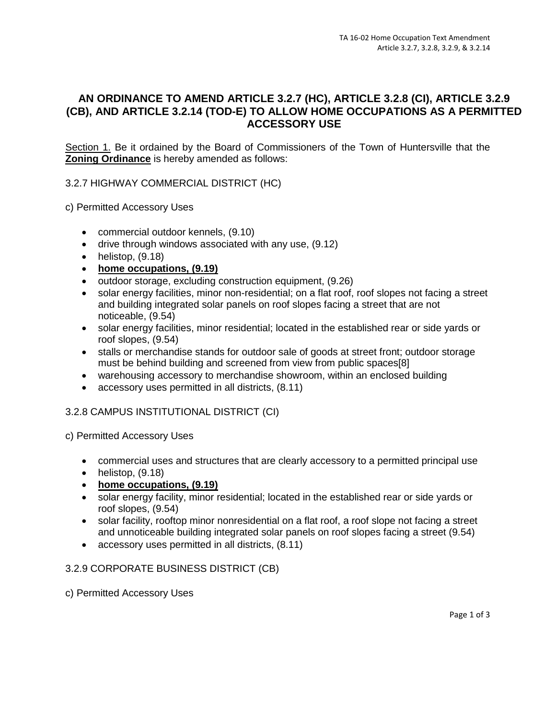# **AN ORDINANCE TO AMEND ARTICLE 3.2.7 (HC), ARTICLE 3.2.8 (CI), ARTICLE 3.2.9 (CB), AND ARTICLE 3.2.14 (TOD-E) TO ALLOW HOME OCCUPATIONS AS A PERMITTED ACCESSORY USE**

Section 1. Be it ordained by the Board of Commissioners of the Town of Huntersville that the **Zoning Ordinance** is hereby amended as follows:

3.2.7 HIGHWAY COMMERCIAL DISTRICT (HC)

c) Permitted Accessory Uses

- commercial outdoor kennels, (9.10)
- drive through windows associated with any use, (9.12)
- $\bullet$  helistop,  $(9.18)$
- **home occupations, (9.19)**
- outdoor storage, excluding construction equipment, (9.26)
- solar energy facilities, minor non-residential; on a flat roof, roof slopes not facing a street and building integrated solar panels on roof slopes facing a street that are not noticeable, (9.54)
- solar energy facilities, minor residential; located in the established rear or side yards or roof slopes, (9.54)
- stalls or merchandise stands for outdoor sale of goods at street front; outdoor storage must be behind building and screened from view from public spaces[8]
- warehousing accessory to merchandise showroom, within an enclosed building
- accessory uses permitted in all districts, (8.11)

## 3.2.8 CAMPUS INSTITUTIONAL DISTRICT (CI)

c) Permitted Accessory Uses

- commercial uses and structures that are clearly accessory to a permitted principal use
- $\bullet$  helistop,  $(9.18)$
- **home occupations, (9.19)**
- solar energy facility, minor residential; located in the established rear or side yards or roof slopes, (9.54)
- solar facility, rooftop minor nonresidential on a flat roof, a roof slope not facing a street and unnoticeable building integrated solar panels on roof slopes facing a street (9.54)
- accessory uses permitted in all districts, (8.11)

#### 3.2.9 CORPORATE BUSINESS DISTRICT (CB)

c) Permitted Accessory Uses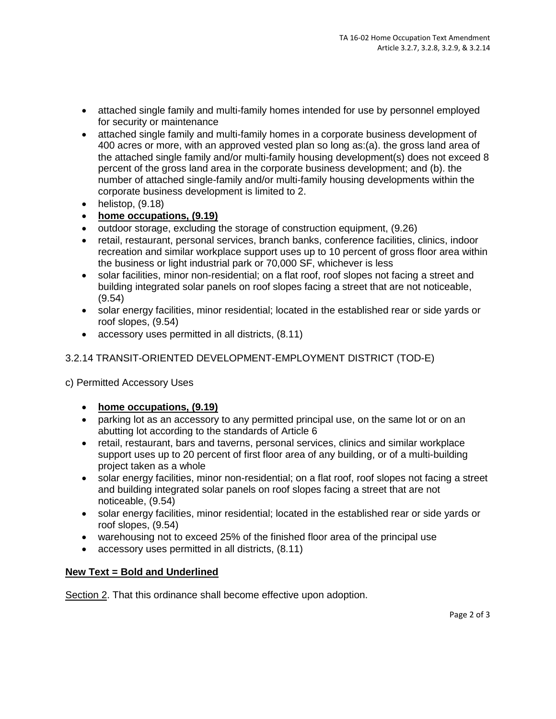- attached single family and multi-family homes intended for use by personnel employed for security or maintenance
- attached single family and multi-family homes in a corporate business development of 400 acres or more, with an approved vested plan so long as:(a). the gross land area of the attached single family and/or multi-family housing development(s) does not exceed 8 percent of the gross land area in the corporate business development; and (b). the number of attached single-family and/or multi-family housing developments within the corporate business development is limited to 2.
- $\bullet$  helistop,  $(9.18)$
- **home occupations, (9.19)**
- outdoor storage, excluding the storage of construction equipment, (9.26)
- retail, restaurant, personal services, branch banks, conference facilities, clinics, indoor recreation and similar workplace support uses up to 10 percent of gross floor area within the business or light industrial park or 70,000 SF, whichever is less
- solar facilities, minor non-residential; on a flat roof, roof slopes not facing a street and building integrated solar panels on roof slopes facing a street that are not noticeable, (9.54)
- solar energy facilities, minor residential; located in the established rear or side yards or roof slopes, (9.54)
- accessory uses permitted in all districts, (8.11)

# 3.2.14 TRANSIT-ORIENTED DEVELOPMENT-EMPLOYMENT DISTRICT (TOD-E)

- c) Permitted Accessory Uses
	- **home occupations, (9.19)**
	- parking lot as an accessory to any permitted principal use, on the same lot or on an abutting lot according to the standards of Article 6
	- retail, restaurant, bars and taverns, personal services, clinics and similar workplace support uses up to 20 percent of first floor area of any building, or of a multi-building project taken as a whole
	- solar energy facilities, minor non-residential; on a flat roof, roof slopes not facing a street and building integrated solar panels on roof slopes facing a street that are not noticeable, (9.54)
	- solar energy facilities, minor residential; located in the established rear or side yards or roof slopes, (9.54)
	- warehousing not to exceed 25% of the finished floor area of the principal use
	- accessory uses permitted in all districts, (8.11)

## **New Text = Bold and Underlined**

Section 2. That this ordinance shall become effective upon adoption.